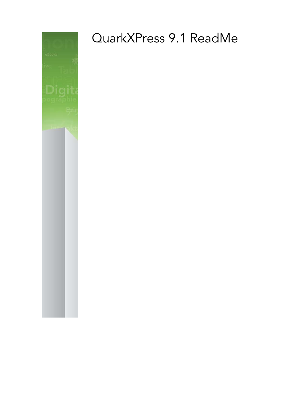

# QuarkXPress 9.1 ReadMe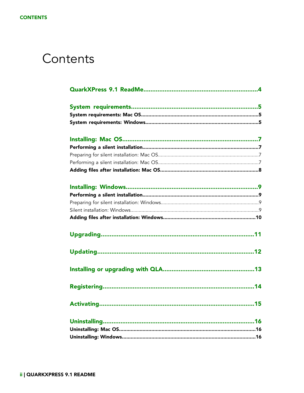## Contents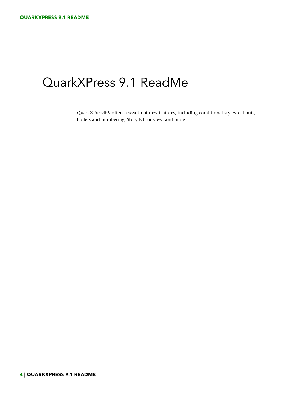## <span id="page-3-0"></span>QuarkXPress 9.1 ReadMe

QuarkXPress® 9 offers a wealth of new features, including conditional styles, callouts, bullets and numbering, Story Editor view, and more.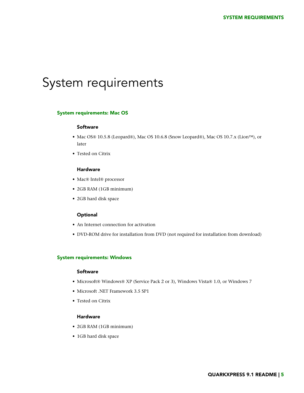## <span id="page-4-0"></span>System requirements

### <span id="page-4-1"></span>System requirements: Mac OS

#### Software

- Mac OS® 10.5.8 (Leopard®), Mac OS 10.6.8 (Snow Leopard®), Mac OS 10.7.x (Lion™), or later
- Tested on Citrix

### Hardware

- Mac® Intel® processor
- 2GB RAM (1GB minimum)
- 2GB hard disk space

#### Optional

- An Internet connection for activation
- <span id="page-4-2"></span>• DVD-ROM drive for installation from DVD (not required for installation from download)

### System requirements: Windows

### Software

- Microsoft® Windows® XP (Service Pack 2 or 3), Windows Vista® 1.0, or Windows 7
- Microsoft .NET Framework 3.5 SP1
- Tested on Citrix

### Hardware

- 2GB RAM (1GB minimum)
- 1GB hard disk space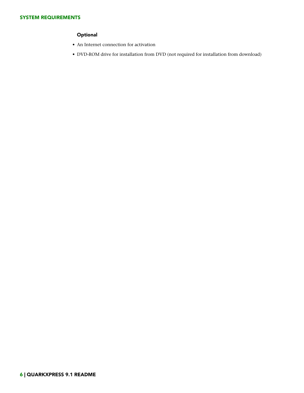### **Optional**

- An Internet connection for activation
- DVD-ROM drive for installation from DVD (not required for installation from download)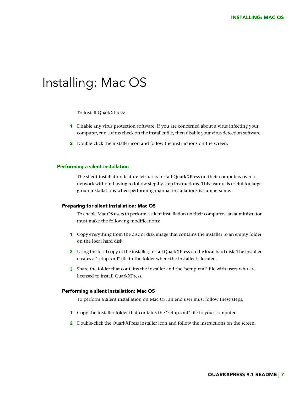### <span id="page-6-0"></span>Installing: Mac OS

To install QuarkXPress:

- 1 Disable any virus protection software. If you are concerned about a virus infecting your computer, run a virus check on the installer file, then disable your virus detection software.
- 2 Double-click the installer icon and follow the instructions on the screen.

### <span id="page-6-2"></span><span id="page-6-1"></span>Performing a silent installation

The silent installation feature lets users install QuarkXPress on their computers over a network without having to follow step-by-step instructions. This feature is useful for large group installations when performing manual installations is cumbersome.

#### Preparing for silent installation: Mac OS

To enable Mac OS users to perform a silent installation on their computers, an administrator must make the following modifications:

- 1 Copy everything from the disc or disk image that contains the installer to an empty folder on the local hard disk.
- 2 Using the local copy of the installer, install QuarkXPress on the local hard disk. The installer creates a "setup.xml" file in the folder where the installer is located.
- <span id="page-6-3"></span>3 Share the folder that contains the installer and the "setup.xml" file with users who are licensed to install QuarkXPress.

#### Performing a silent installation: Mac OS

To perform a silent installation on Mac OS, an end user must follow these steps:

- 1 Copy the installer folder that contains the "setup.xml" file to your computer.
- 2 Double-click the QuarkXPress installer icon and follow the instructions on the screen.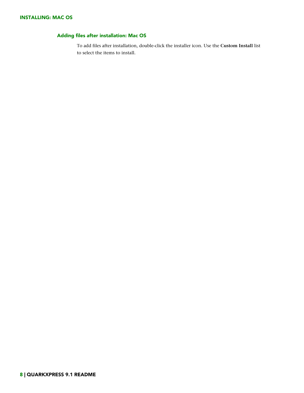### <span id="page-7-0"></span>Adding files after installation: Mac OS

To add files after installation, double-click the installer icon. Use the **Custom Install** list to select the items to install.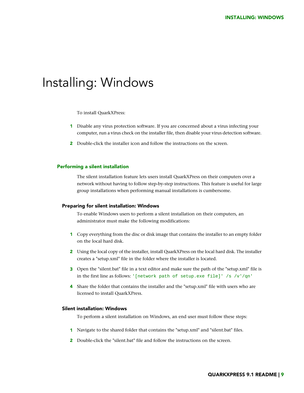### <span id="page-8-0"></span>Installing: Windows

To install QuarkXPress:

- 1 Disable any virus protection software. If you are concerned about a virus infecting your computer, run a virus check on the installer file, then disable your virus detection software.
- 2 Double-click the installer icon and follow the instructions on the screen.

### <span id="page-8-2"></span><span id="page-8-1"></span>Performing a silent installation

The silent installation feature lets users install QuarkXPress on their computers over a network without having to follow step-by-step instructions. This feature is useful for large group installations when performing manual installations is cumbersome.

#### Preparing for silent installation: Windows

To enable Windows users to perform a silent installation on their computers, an administrator must make the following modifications:

- 1 Copy everything from the disc or disk image that contains the installer to an empty folder on the local hard disk.
- 2 Using the local copy of the installer, install QuarkXPress on the local hard disk. The installer creates a "setup.xml" file in the folder where the installer is located.
- <span id="page-8-3"></span>3 Open the "silent.bat" file in a text editor and make sure the path of the "setup.xml" file is in the first line as follows: '[network path of setup.exe file]' /s /v'/qn'
- 4 Share the folder that contains the installer and the "setup.xml" file with users who are licensed to install QuarkXPress.

### Silent installation: Windows

To perform a silent installation on Windows, an end user must follow these steps:

- 1 Navigate to the shared folder that contains the "setup.xml" and "silent.bat" files.
- 2 Double-click the "silent.bat" file and follow the instructions on the screen.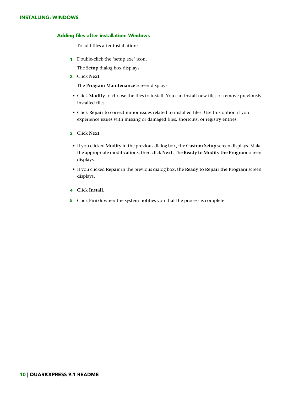### INSTALLING: WINDOWS

### <span id="page-9-0"></span>Adding files after installation: Windows

To add files after installation:

1 Double-click the "setup.exe" icon.

The **Setup** dialog box displays.

2 Click **Next**.

The **Program Maintenance** screen displays.

- Click **Modify** to choose the files to install. You can install new files or remove previously installed files.
- Click **Repair** to correct minor issues related to installed files. Use this option if you experience issues with missing or damaged files, shortcuts, or registry entries.
- 3 Click **Next**.
- If you clicked **Modify** in the previous dialog box, the **Custom Setup** screen displays. Make the appropriate modifications, then click **Next**. The **Ready to Modify the Program** screen displays.
- If you clicked **Repair** in the previous dialog box, the **Ready to Repair the Program** screen displays.
- 4 Click **Install**.
- 5 Click **Finish** when the system notifies you that the process is complete.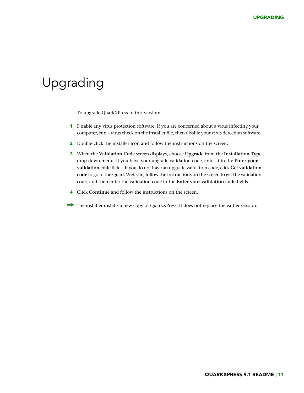## <span id="page-10-0"></span>Upgrading

To upgrade QuarkXPress to this version:

- 1 Disable any virus protection software. If you are concerned about a virus infecting your computer, run a virus check on the installer file, then disable your virus detection software.
- 2 Double-click the installer icon and follow the instructions on the screen.
- 3 When the **Validation Code** screen displays, choose **Upgrade** from the **Installation Type** drop-down menu. If you have your upgrade validation code, enter it in the **Enter your validation code** fields. If you do not have an upgrade validation code, click **Get validation code** to go to the Quark Web site, follow the instructions on the screen to get the validation code, and then enter the validation code in the **Enter your validation code** fields.
- 4 Click **Continue** and follow the instructions on the screen.
- The installer installs a new copy of QuarkXPress. It does not replace the earlier version.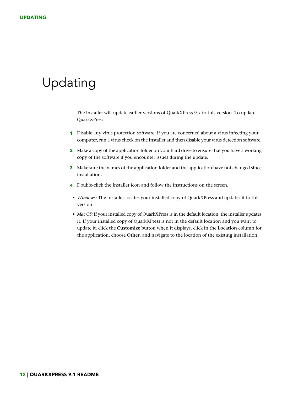## <span id="page-11-0"></span>Updating

The installer will update earlier versions of QuarkXPress 9.x to this version. To update QuarkXPress:

- 1 Disable any virus protection software. If you are concerned about a virus infecting your computer, run a virus check on the Installer and then disable your virus detection software.
- 2 Make a copy of the application folder on your hard drive to ensure that you have a working copy of the software if you encounter issues during the update.
- 3 Make sure the names of the application folder and the application have not changed since installation.
- 4 Double-click the Installer icon and follow the instructions on the screen.
- *Windows:* The installer locates your installed copy of QuarkXPress and updates it to this version.
- *Mac OS:* If your installed copy of QuarkXPress is in the default location, the installer updates it. If your installed copy of QuarkXPress is not in the default location and you want to update it, click the **Customize** button when it displays, click in the **Location** column for the application, choose **Other**, and navigate to the location of the existing installation.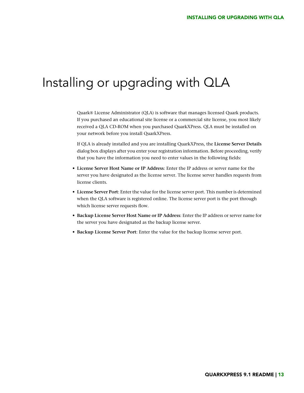### <span id="page-12-0"></span>Installing or upgrading with QLA

Quark® License Administrator (QLA) is software that manages licensed Quark products. If you purchased an educational site license or a commercial site license, you most likely received a QLA CD-ROM when you purchased QuarkXPress. QLA must be installed on your network before you install QuarkXPress.

If QLA is already installed and you are installing QuarkXPress, the **License Server Details** dialog box displays after you enter your registration information. Before proceeding, verify that you have the information you need to enter values in the following fields:

- **License Server Host Name or IP Address**: Enter the IP address or server name for the server you have designated as the license server. The license server handles requests from license clients.
- **License Server Port**: Enter the value for the license server port. This number is determined when the QLA software is registered online. The license server port is the port through which license server requests flow.
- **Backup License Server Host Name or IP Address**: Enter the IP address or server name for the server you have designated as the backup license server.
- **Backup License Server Port**: Enter the value for the backup license server port.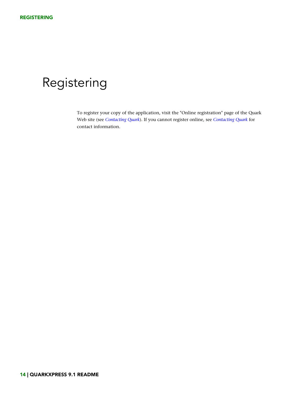## <span id="page-13-0"></span>Registering

To register your copy of the application, visit the "Online registration" page of the Quark Web site (see *[Contacting Quark](#page-19-0)*). If you cannot register online, see *[Contacting Quark](#page-19-0)* for contact information.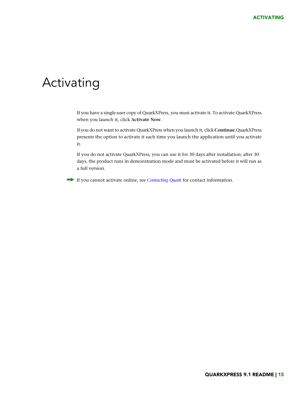### <span id="page-14-0"></span>Activating

If you have a single-user copy of QuarkXPress, you must activate it. To activate QuarkXPress when you launch it, click **Activate Now**.

If you do not want to activate QuarkXPress when you launch it, click **Continue**.QuarkXPress presents the option to activate it each time you launch the application until you activate it.

If you do not activate QuarkXPress, you can use it for 30 days after installation; after 30 days, the product runs in demonstration mode and must be activated before it will run as a full version.

If you cannot activate online, see *[Contacting Quark](#page-19-0)* for contact information.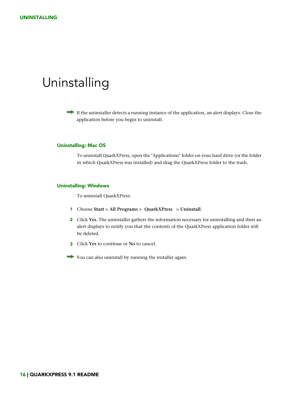### <span id="page-15-0"></span>Uninstalling

If the uninstaller detects a running instance of the application, an alert displays. Close the application before you begin to uninstall.

### <span id="page-15-1"></span>Uninstalling: Mac OS

To uninstall QuarkXPress, open the "Applications" folder on your hard drive (or the folder in which QuarkXPress was installed) and drag the QuarkXPress folder to the trash.

### <span id="page-15-2"></span>Uninstalling: Windows

To uninstall QuarkXPress:

- 1 Choose **Start > All Programs > QuarkXPress > Uninstall**.
- 2 Click **Yes**. The uninstaller gathers the information necessary for uninstalling and then an alert displays to notify you that the contents of the QuarkXPress application folder will be deleted.
- 3 Click **Yes** to continue or **No** to cancel.
- You can also uninstall by running the installer again.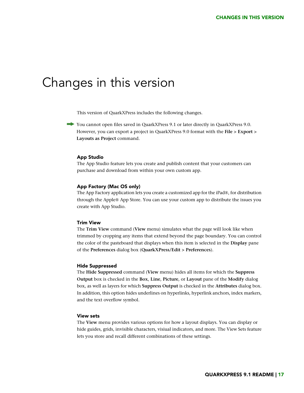### <span id="page-16-0"></span>Changes in this version

This version of QuarkXPress includes the following changes.

You cannot open files saved in QuarkXPress 9.1 or later directly in QuarkXPress 9.0. However, you can export a project in QuarkXPress 9.0 format with the **File > Export > Layouts as Project** command.

#### App Studio

The App Studio feature lets you create and publish content that your customers can purchase and download from within your own custom app.

#### App Factory (Mac OS only)

The App Factory application lets you create a customized app for the iPad®, for distribution through the Apple® App Store. You can use your custom app to distribute the issues you create with App Studio.

### Trim View

The **Trim View** command (**View** menu) simulates what the page will look like when trimmed by cropping any items that extend beyond the page boundary. You can control the color of the pasteboard that displays when this item is selected in the **Display** pane of the **Preferences** dialog box (**QuarkXPress/Edit > Preferences**).

#### Hide Suppressed

The **Hide Suppressed** command (**View** menu) hides all items for which the **Suppress Output** box is checked in the **Box**, **Line**, **Picture**, or **Layout** pane of the **Modify** dialog box, as well as layers for which **Suppress Output** is checked in the **Attributes** dialog box. In addition, this option hides underlines on hyperlinks, hyperlink anchors, index markers, and the text overflow symbol.

### View sets

The **View** menu provides various options for how a layout displays. You can display or hide guides, grids, invisible characters, visiual indicators, and more. The View Sets feature lets you store and recall different combinations of these settings.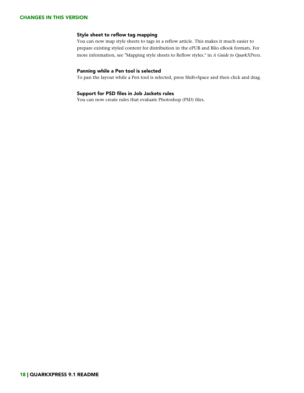### CHANGES IN THIS VERSION

### Style sheet to reflow tag mapping

You can now map style sheets to tags in a reflow article. This makes it much easier to prepare existing styled content for distribution in the ePUB and Blio eBook formats. For more information, see "Mapping style sheets to Reflow styles." in *A Guide to QuarkXPress*.

### Panning while a Pen tool is selected

To pan the layout while a Pen tool is selected, press Shift+Space and then click and drag.

### Support for PSD files in Job Jackets rules

You can now create rules that evaluate Photoshop (PSD) files.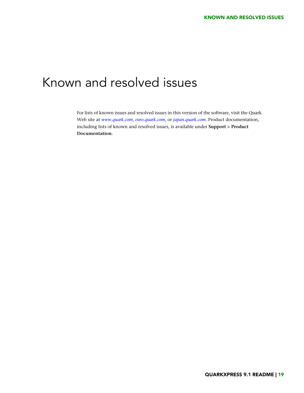## <span id="page-18-0"></span>Known and resolved issues

For lists of known issues and resolved issues in this version of the software, visit the Quark Web site at *[www.quark.com](http://www.quark.com)*, *[euro.quark.com](http://euro.quark.com)*, or *[japan.quark.com](http://japan.quark.com)*. Product documentation, including lists of known and resolved issues, is available under **Support > Product Documentation**.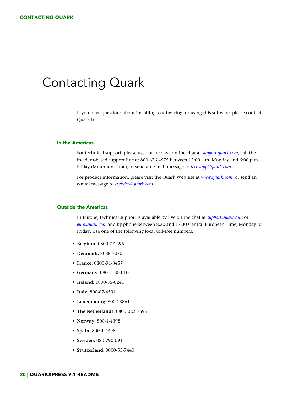### <span id="page-19-0"></span>Contacting Quark

If you have questions about installing, configuring, or using this software, please contact Quark Inc.

#### <span id="page-19-1"></span>In the Americas

For technical support, please use our free live online chat at *[support.quark.com](http://support.quark.com)*, call the incident-based support line at 800.676.4575 between 12:00 a.m. Monday and 6:00 p.m. Friday (Mountain Time), or send an e-mail message to *[techsupp@quark.com](mailto:techsupp@quark.com)*.

For product information, please visit the Quark Web site at *[www.quark.com](http://www.quark.com)*, or send an e-mail message to *[cservice@quark.com](mailto:cservice@quark.com)*.

### <span id="page-19-2"></span>Outside the Americas

In Europe, technical support is available by live online chat at *[support.quark.com](http://support.quark.com)* or *[euro.quark.com](http://euro.quark.com)* and by phone between 8.30 and 17.30 Central European Time, Monday to Friday. Use one of the following local toll-free numbers:

- **Belgium:** 0800-77-296
- **Denmark:** 8088-7070
- **France:** 0800-91-3457
- **Germany:** 0800-180-0101
- **Ireland:** 1800-55-0241
- **Italy:** 800-87-4591
- **Luxembourg:** 8002-3861
- **The Netherlands:** 0800-022-7695
- **Norway:** 800-1-4398
- **Spain:** 800-1-4398
- **Sweden:** 020-790-091
- **Switzerland:** 0800-55-7440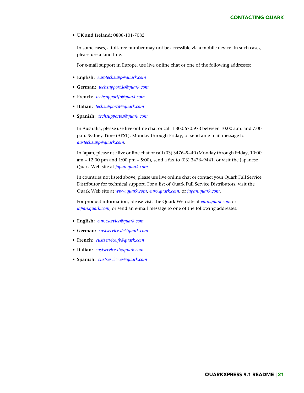• **UK and Ireland:** 0808-101-7082

In some cases, a toll-free number may not be accessible via a mobile device. In such cases, please use a land line.

For e-mail support in Europe, use live online chat or one of the following addresses:

- **English:** *[eurotechsupp@quark.com](mailto:eurotechsupp@quark.com)*
- **German:** *[techsupportde@quark.com](mailto:techsupportde@quark.com)*
- **French:** *[techsupportfr@quark.com](mailto:techsupportfr@quark.com)*
- **Italian:** *[techsupportit@quark.com](mailto:techsupportit@quark.com)*
- **Spanish:** *[techsupportes@quark.com](mailto:techsupportes@quark.com)*

In Australia, please use live online chat or call 1 800.670.973 between 10:00 a.m. and 7:00 p.m. Sydney Time (AEST), Monday through Friday, or send an e-mail message to *[austechsupp@quark.com](mailto:austechsupp@quark.com)*.

In Japan, please use live online chat or call (03) 3476–9440 (Monday through Friday, 10:00 am – 12:00 pm and 1:00 pm – 5:00), send a fax to (03) 3476–9441, or visit the Japanese Quark Web site at *[japan.quark.com](http://japan.quark.com)*.

In countries not listed above, please use live online chat or contact your Quark Full Service Distributor for technical support. For a list of Quark Full Service Distributors, visit the Quark Web site at *[www.quark.com](http://www.quark.com)*, *[euro.quark.com](http://euro.quark.com)*, or *[japan.quark.com](http://japan.quark.com)*.

For product information, please visit the Quark Web site at *[euro.quark.com](http://euro.quark.com)* or *[japan.quark.com](http://japan.quark.com)*, or send an e-mail message to one of the following addresses:

- **English:** *[eurocservice@quark.com](mailto:eurocservice@quark.com)*
- **German:** *[custservice.de@quark.com](mailto:custservice.de@quark.com)*
- **French:** *[custservice.fr@quark.com](mailto:custservice.fr@quark.com)*
- **Italian:** *[custservice.it@quark.com](mailto:custservice.it@quark.com)*
- **Spanish:** *[custservice.es@quark.com](mailto:custservice.es@quark.com)*